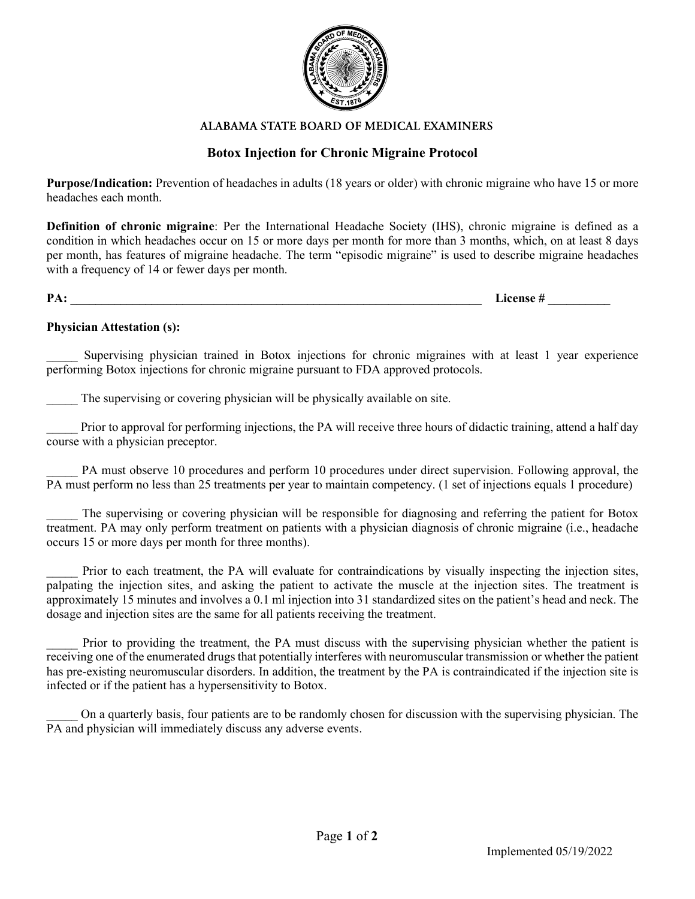

#### ALABAMA STATE BOARD OF MEDICAL EXAMINERS

## Botox Injection for Chronic Migraine Protocol

Purpose/Indication: Prevention of headaches in adults (18 years or older) with chronic migraine who have 15 or more headaches each month.

Definition of chronic migraine: Per the International Headache Society (IHS), chronic migraine is defined as a condition in which headaches occur on 15 or more days per month for more than 3 months, which, on at least 8 days per month, has features of migraine headache. The term "episodic migraine" is used to describe migraine headaches with a frequency of 14 or fewer days per month.

 $PA:$  License  $#$ 

#### Physician Attestation (s):

Supervising physician trained in Botox injections for chronic migraines with at least 1 year experience performing Botox injections for chronic migraine pursuant to FDA approved protocols.

The supervising or covering physician will be physically available on site.

Prior to approval for performing injections, the PA will receive three hours of didactic training, attend a half day course with a physician preceptor.

PA must observe 10 procedures and perform 10 procedures under direct supervision. Following approval, the PA must perform no less than 25 treatments per year to maintain competency. (1 set of injections equals 1 procedure)

The supervising or covering physician will be responsible for diagnosing and referring the patient for Botox treatment. PA may only perform treatment on patients with a physician diagnosis of chronic migraine (i.e., headache occurs 15 or more days per month for three months).

Prior to each treatment, the PA will evaluate for contraindications by visually inspecting the injection sites, palpating the injection sites, and asking the patient to activate the muscle at the injection sites. The treatment is approximately 15 minutes and involves a 0.1 ml injection into 31 standardized sites on the patient's head and neck. The dosage and injection sites are the same for all patients receiving the treatment.

Prior to providing the treatment, the PA must discuss with the supervising physician whether the patient is receiving one of the enumerated drugs that potentially interferes with neuromuscular transmission or whether the patient has pre-existing neuromuscular disorders. In addition, the treatment by the PA is contraindicated if the injection site is infected or if the patient has a hypersensitivity to Botox.

\_\_\_\_\_ On a quarterly basis, four patients are to be randomly chosen for discussion with the supervising physician. The PA and physician will immediately discuss any adverse events.